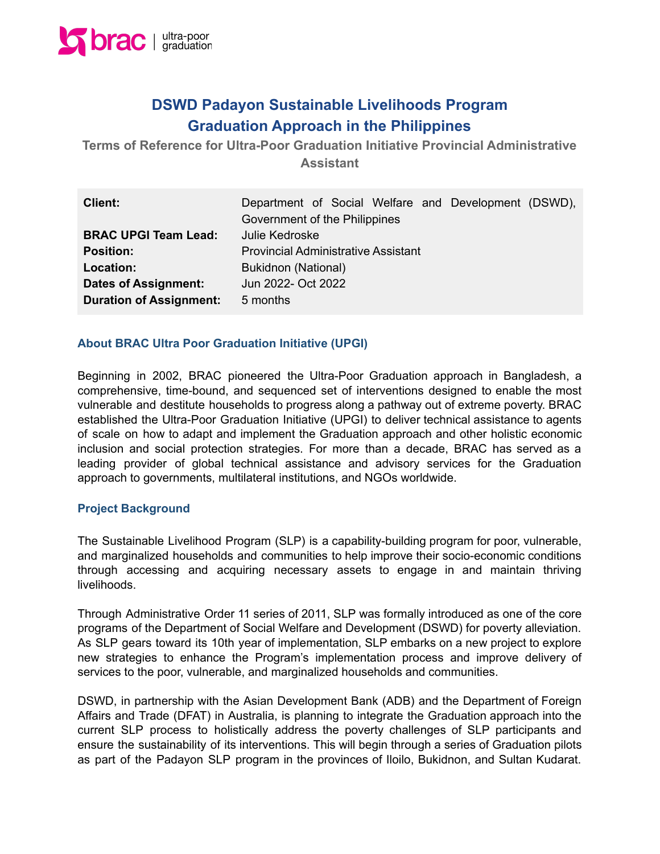

# **DSWD Padayon Sustainable Livelihoods Program Graduation Approach in the Philippines**

**Terms of Reference for Ultra-Poor Graduation Initiative Provincial Administrative Assistant**

| <b>Client:</b>                 | Department of Social Welfare and Development (DSWD), |
|--------------------------------|------------------------------------------------------|
|                                | Government of the Philippines                        |
| <b>BRAC UPGI Team Lead:</b>    | Julie Kedroske                                       |
| <b>Position:</b>               | <b>Provincial Administrative Assistant</b>           |
| Location:                      | Bukidnon (National)                                  |
| <b>Dates of Assignment:</b>    | Jun 2022- Oct 2022                                   |
| <b>Duration of Assignment:</b> | 5 months                                             |

#### **About BRAC Ultra Poor Graduation Initiative (UPGI)**

Beginning in 2002, BRAC pioneered the Ultra-Poor Graduation approach in Bangladesh, a comprehensive, time-bound, and sequenced set of interventions designed to enable the most vulnerable and destitute households to progress along a pathway out of extreme poverty. BRAC established the Ultra-Poor Graduation Initiative (UPGI) to deliver technical assistance to agents of scale on how to adapt and implement the Graduation approach and other holistic economic inclusion and social protection strategies. For more than a decade, BRAC has served as a leading provider of global technical assistance and advisory services for the Graduation approach to governments, multilateral institutions, and NGOs worldwide.

#### **Project Background**

The Sustainable Livelihood Program (SLP) is a capability-building program for poor, vulnerable, and marginalized households and communities to help improve their socio-economic conditions through accessing and acquiring necessary assets to engage in and maintain thriving livelihoods.

Through Administrative Order 11 series of 2011, SLP was formally introduced as one of the core programs of the Department of Social Welfare and Development (DSWD) for poverty alleviation. As SLP gears toward its 10th year of implementation, SLP embarks on a new project to explore new strategies to enhance the Program's implementation process and improve delivery of services to the poor, vulnerable, and marginalized households and communities.

DSWD, in partnership with the Asian Development Bank (ADB) and the Department of Foreign Affairs and Trade (DFAT) in Australia, is planning to integrate the Graduation approach into the current SLP process to holistically address the poverty challenges of SLP participants and ensure the sustainability of its interventions. This will begin through a series of Graduation pilots as part of the Padayon SLP program in the provinces of Iloilo, Bukidnon, and Sultan Kudarat.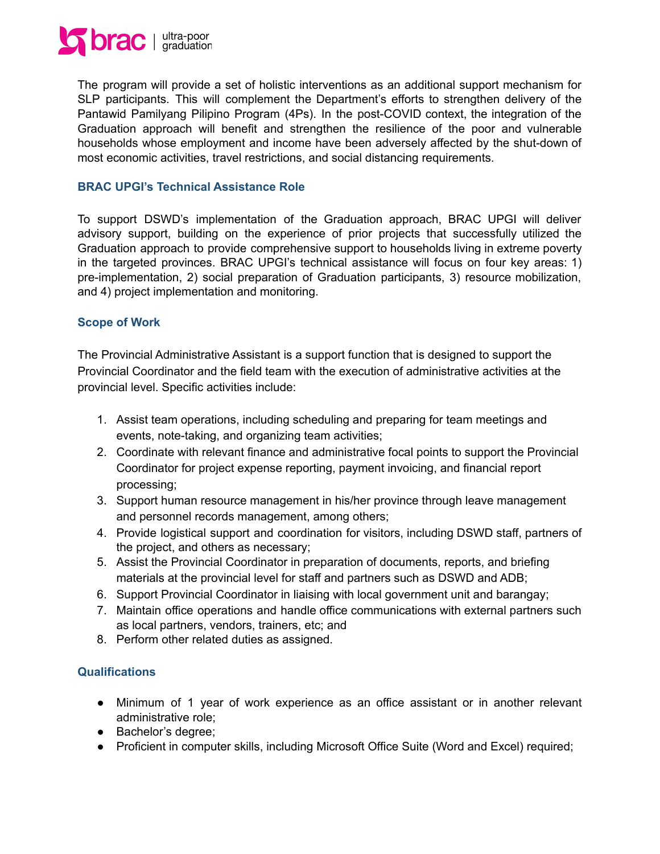

The program will provide a set of holistic interventions as an additional support mechanism for SLP participants. This will complement the Department's efforts to strengthen delivery of the Pantawid Pamilyang Pilipino Program (4Ps). In the post-COVID context, the integration of the Graduation approach will benefit and strengthen the resilience of the poor and vulnerable households whose employment and income have been adversely affected by the shut-down of most economic activities, travel restrictions, and social distancing requirements.

## **BRAC UPGI's Technical Assistance Role**

To support DSWD's implementation of the Graduation approach, BRAC UPGI will deliver advisory support, building on the experience of prior projects that successfully utilized the Graduation approach to provide comprehensive support to households living in extreme poverty in the targeted provinces. BRAC UPGI's technical assistance will focus on four key areas: 1) pre-implementation, 2) social preparation of Graduation participants, 3) resource mobilization, and 4) project implementation and monitoring.

#### **Scope of Work**

The Provincial Administrative Assistant is a support function that is designed to support the Provincial Coordinator and the field team with the execution of administrative activities at the provincial level. Specific activities include:

- 1. Assist team operations, including scheduling and preparing for team meetings and events, note-taking, and organizing team activities;
- 2. Coordinate with relevant finance and administrative focal points to support the Provincial Coordinator for project expense reporting, payment invoicing, and financial report processing;
- 3. Support human resource management in his/her province through leave management and personnel records management, among others;
- 4. Provide logistical support and coordination for visitors, including DSWD staff, partners of the project, and others as necessary;
- 5. Assist the Provincial Coordinator in preparation of documents, reports, and briefing materials at the provincial level for staff and partners such as DSWD and ADB;
- 6. Support Provincial Coordinator in liaising with local government unit and barangay;
- 7. Maintain office operations and handle office communications with external partners such as local partners, vendors, trainers, etc; and
- 8. Perform other related duties as assigned.

## **Qualifications**

- Minimum of 1 year of work experience as an office assistant or in another relevant administrative role;
- Bachelor's degree;
- Proficient in computer skills, including Microsoft Office Suite (Word and Excel) required;